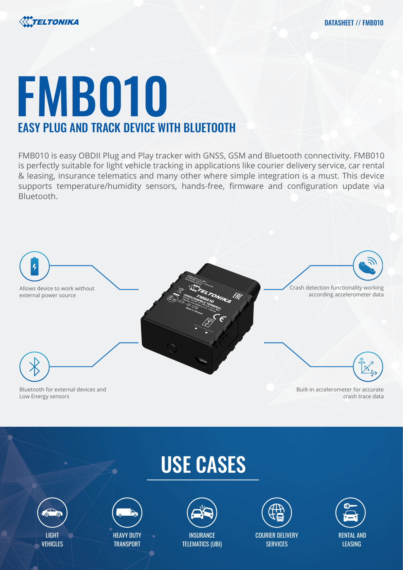



# FMB010 EASY PLUG AND TRACK DEVICE WITH BLUETOOTH

FMB010 is easy OBDII Plug and Play tracker with GNSS, GSM and Bluetooth connectivity. FMB010 is perfectly suitable for light vehicle tracking in applications like courier delivery service, car rental & leasing, insurance telematics and many other where simple integration is a must. This device supports temperature/humidity sensors, hands-free, firmware and configuration update via Bluetooth.



# USE CASES









TELEMATICS (UBI)



COURIER DELIVERY **SERVICES** 

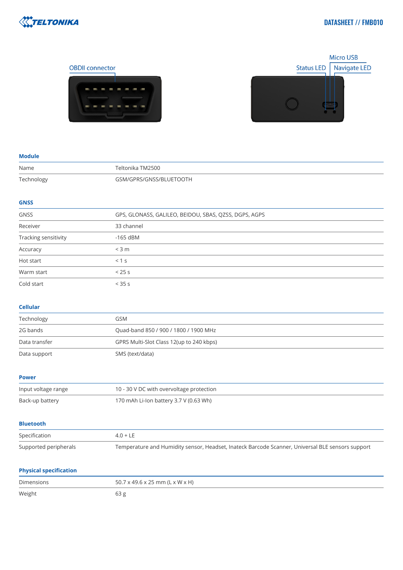

# DATASHEET // FMB010

|                      | <b>OBDII</b> connector                                | <b>Micro USB</b><br><b>Navigate LED</b><br><b>Status LED</b> |
|----------------------|-------------------------------------------------------|--------------------------------------------------------------|
| <b>Module</b>        |                                                       |                                                              |
| Name                 | Teltonika TM2500                                      |                                                              |
| Technology           | GSM/GPRS/GNSS/BLUETOOTH                               |                                                              |
| <b>GNSS</b>          |                                                       |                                                              |
| GNSS                 | GPS, GLONASS, GALILEO, BEIDOU, SBAS, QZSS, DGPS, AGPS |                                                              |
| Receiver             | 33 channel                                            |                                                              |
| Tracking sensitivity | $-165$ dBM                                            |                                                              |
| Accuracy             | $<$ 3 m                                               |                                                              |
| Hot start            | < 1 s                                                 |                                                              |
| Warm start           | < 25 s                                                |                                                              |
| Cold start           | < 35 s                                                |                                                              |

### **Cellular**

| Technology    | GSM                                      |
|---------------|------------------------------------------|
| 2G bands      | Quad-band 850 / 900 / 1800 / 1900 MHz    |
| Data transfer | GPRS Multi-Slot Class 12(up to 240 kbps) |
| Data support  | SMS (text/data)                          |

#### **Power**

| Input voltage range | 10 - 30 V DC with overvoltage protection |
|---------------------|------------------------------------------|
| Back-up battery     | 170 mAh Li-Ion battery 3.7 V (0.63 Wh)   |

#### **Bluetooth**

| Specification         | $4.0 + LE$                                                                                       |
|-----------------------|--------------------------------------------------------------------------------------------------|
| Supported peripherals | Temperature and Humidity sensor, Headset, Inateck Barcode Scanner, Universal BLE sensors support |

## **Physical specification**

| Dimensions | 50.7 x 49.6 x 25 mm (L x W x H) |
|------------|---------------------------------|
| Weight     | 63 g                            |